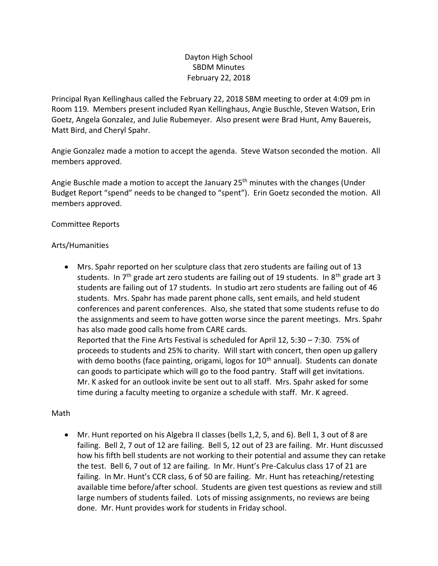# Dayton High School SBDM Minutes February 22, 2018

Principal Ryan Kellinghaus called the February 22, 2018 SBM meeting to order at 4:09 pm in Room 119. Members present included Ryan Kellinghaus, Angie Buschle, Steven Watson, Erin Goetz, Angela Gonzalez, and Julie Rubemeyer. Also present were Brad Hunt, Amy Bauereis, Matt Bird, and Cheryl Spahr.

Angie Gonzalez made a motion to accept the agenda. Steve Watson seconded the motion. All members approved.

Angie Buschle made a motion to accept the January 25<sup>th</sup> minutes with the changes (Under Budget Report "spend" needs to be changed to "spent"). Erin Goetz seconded the motion. All members approved.

## Committee Reports

## Arts/Humanities

• Mrs. Spahr reported on her sculpture class that zero students are failing out of 13 students. In  $7<sup>th</sup>$  grade art zero students are failing out of 19 students. In  $8<sup>th</sup>$  grade art 3 students are failing out of 17 students. In studio art zero students are failing out of 46 students. Mrs. Spahr has made parent phone calls, sent emails, and held student conferences and parent conferences. Also, she stated that some students refuse to do the assignments and seem to have gotten worse since the parent meetings. Mrs. Spahr has also made good calls home from CARE cards.

Reported that the Fine Arts Festival is scheduled for April 12, 5:30 – 7:30. 75% of proceeds to students and 25% to charity. Will start with concert, then open up gallery with demo booths (face painting, origami, logos for  $10<sup>th</sup>$  annual). Students can donate can goods to participate which will go to the food pantry. Staff will get invitations. Mr. K asked for an outlook invite be sent out to all staff. Mrs. Spahr asked for some time during a faculty meeting to organize a schedule with staff. Mr. K agreed.

## Math

• Mr. Hunt reported on his Algebra II classes (bells 1,2, 5, and 6). Bell 1, 3 out of 8 are failing. Bell 2, 7 out of 12 are failing. Bell 5, 12 out of 23 are failing. Mr. Hunt discussed how his fifth bell students are not working to their potential and assume they can retake the test. Bell 6, 7 out of 12 are failing. In Mr. Hunt's Pre-Calculus class 17 of 21 are failing. In Mr. Hunt's CCR class, 6 of 50 are failing. Mr. Hunt has reteaching/retesting available time before/after school. Students are given test questions as review and still large numbers of students failed. Lots of missing assignments, no reviews are being done. Mr. Hunt provides work for students in Friday school.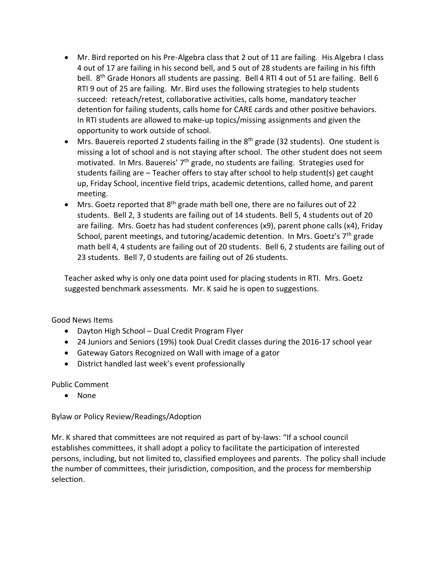- Mr. Bird reported on his Pre-Algebra class that 2 out of 11 are failing. His Algebra I class 4 out of 17 are failing in his second bell, and 5 out of 28 students are failing in his fifth bell. 8<sup>th</sup> Grade Honors all students are passing. Bell 4 RTI 4 out of 51 are failing. Bell 6 RTI 9 out of 25 are failing. Mr. Bird uses the following strategies to help students succeed: reteach/retest, collaborative activities, calls home, mandatory teacher detention for failing students, calls home for CARE cards and other positive behaviors. In RTI students are allowed to make-up topics/missing assignments and given the opportunity to work outside of school.
- Mrs. Bauereis reported 2 students failing in the 8<sup>th</sup> grade (32 students). One student is missing a lot of school and is not staying after school. The other student does not seem motivated. In Mrs. Bauereis'  $7<sup>th</sup>$  grade, no students are failing. Strategies used for students failing are – Teacher offers to stay after school to help student(s) get caught up, Friday School, incentive field trips, academic detentions, called home, and parent meeting.
- Mrs. Goetz reported that  $8<sup>th</sup>$  grade math bell one, there are no failures out of 22 students. Bell 2, 3 students are failing out of 14 students. Bell 5, 4 students out of 20 are failing. Mrs. Goetz has had student conferences (x9), parent phone calls (x4), Friday School, parent meetings, and tutoring/academic detention. In Mrs. Goetz's  $7<sup>th</sup>$  grade math bell 4, 4 students are failing out of 20 students. Bell 6, 2 students are failing out of 23 students. Bell 7, 0 students are failing out of 26 students.

Teacher asked why is only one data point used for placing students in RTI. Mrs. Goetz suggested benchmark assessments. Mr. K said he is open to suggestions.

Good News Items

- Dayton High School Dual Credit Program Flyer
- 24 Juniors and Seniors (19%) took Dual Credit classes during the 2016-17 school year
- Gateway Gators Recognized on Wall with image of a gator
- District handled last week's event professionally

Public Comment

• None

Bylaw or Policy Review/Readings/Adoption

Mr. K shared that committees are not required as part of by-laws: "If a school council establishes committees, it shall adopt a policy to facilitate the participation of interested persons, including, but not limited to, classified employees and parents. The policy shall include the number of committees, their jurisdiction, composition, and the process for membership selection.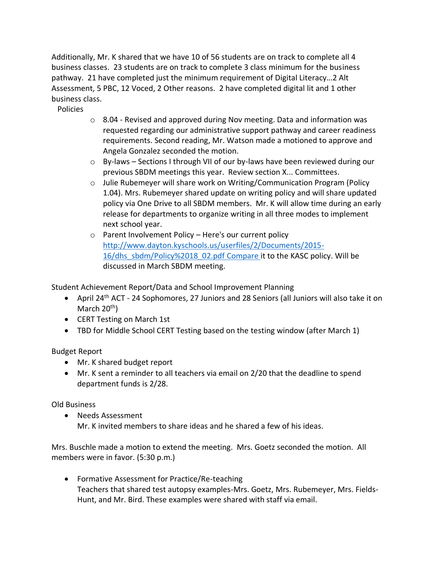Additionally, Mr. K shared that we have 10 of 56 students are on track to complete all 4 business classes. 23 students are on track to complete 3 class minimum for the business pathway. 21 have completed just the minimum requirement of Digital Literacy…2 Alt Assessment, 5 PBC, 12 Voced, 2 Other reasons. 2 have completed digital lit and 1 other business class.

Policies

- $\circ$  8.04 Revised and approved during Nov meeting. Data and information was requested regarding our administrative support pathway and career readiness requirements. Second reading, Mr. Watson made a motioned to approve and Angela Gonzalez seconded the motion.
- $\circ$  By-laws Sections I through VII of our by-laws have been reviewed during our previous SBDM meetings this year. Review section X... Committees.
- $\circ$  Julie Rubemeyer will share work on Writing/Communication Program (Policy 1.04). Mrs. Rubemeyer shared update on writing policy and will share updated policy via One Drive to all SBDM members. Mr. K will allow time during an early release for departments to organize writing in all three modes to implement next school year.
- o Parent Involvement Policy Here's our current policy [http://www.dayton.kyschools.us/userfiles/2/Documents/2015-](http://www.dayton.kyschools.us/userfiles/2/Documents/2015-16/dhs_sbdm/Policy%2018_02.pdf) [16/dhs\\_sbdm/Policy%2018\\_02.pdf](http://www.dayton.kyschools.us/userfiles/2/Documents/2015-16/dhs_sbdm/Policy%2018_02.pdf) Compare it to the KASC policy. Will be discussed in March SBDM meeting.

Student Achievement Report/Data and School Improvement Planning

- April 24<sup>th</sup> ACT 24 Sophomores, 27 Juniors and 28 Seniors (all Juniors will also take it on March  $20<sup>th</sup>$ )
- CERT Testing on March 1st
- TBD for Middle School CERT Testing based on the testing window (after March 1)

Budget Report

- Mr. K shared budget report
- Mr. K sent a reminder to all teachers via email on 2/20 that the deadline to spend department funds is 2/28.

Old Business

• Needs Assessment Mr. K invited members to share ideas and he shared a few of his ideas.

Mrs. Buschle made a motion to extend the meeting. Mrs. Goetz seconded the motion. All members were in favor. (5:30 p.m.)

• Formative Assessment for Practice/Re-teaching Teachers that shared test autopsy examples-Mrs. Goetz, Mrs. Rubemeyer, Mrs. Fields-Hunt, and Mr. Bird. These examples were shared with staff via email.